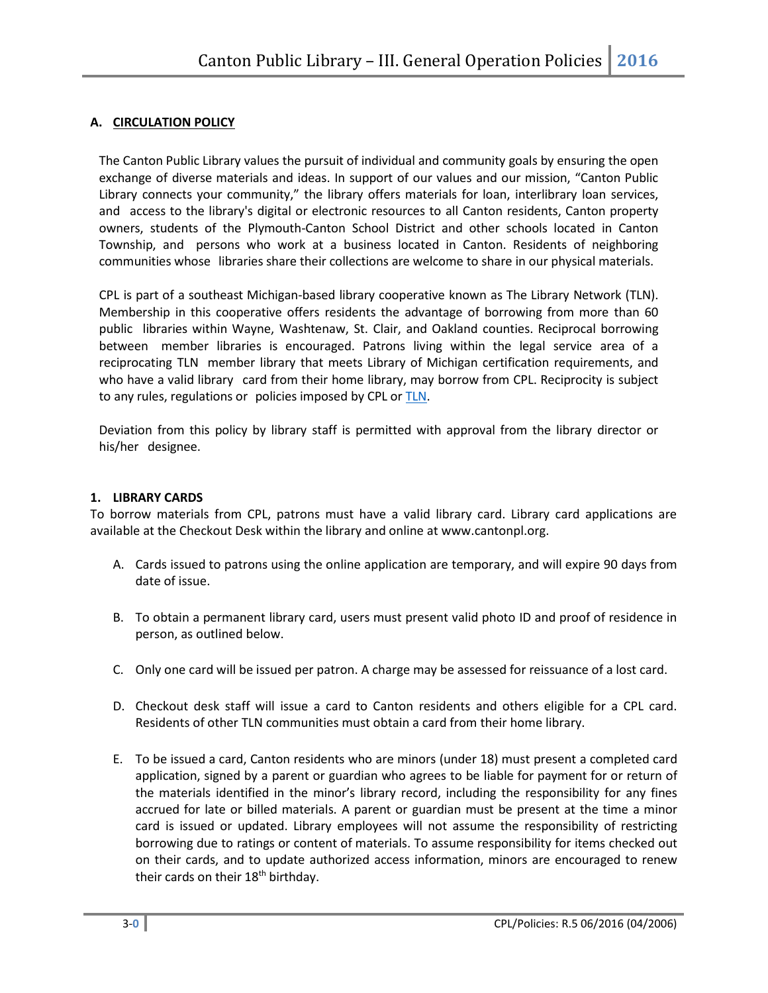# **A. CIRCULATION POLICY**

The Canton Public Library values the pursuit of individual and community goals by ensuring the open exchange of diverse materials and ideas. In support of our values and our mission, "Canton Public Library connects your community," the library offers materials for loan, interlibrary loan services, and access to the library's digital or electronic resources to all Canton residents, Canton property owners, students of the Plymouth-Canton School District and other schools located in Canton Township, and persons who work at a business located in Canton. Residents of neighboring communities whose libraries share their collections are welcome to share in our physical materials.

CPL is part of a southeast Michigan-based library cooperative known as The Library Network (TLN). Membership in this cooperative offers residents the advantage of borrowing from more than 60 public libraries within Wayne, Washtenaw, St. Clair, and Oakland counties. Reciprocal borrowing between member libraries is encouraged. Patrons living within the legal service area of a reciprocating TLN member library that meets Library of Michigan certification requirements, and who have a valid library card from their home library, may borrow from CPL. Reciprocity is subject to any rules, regulations or policies imposed by CPL or TLN.

Deviation from this policy by library staff is permitted with approval from the library director or his/her designee.

### **1. LIBRARY CARDS**

To borrow materials from CPL, patrons must have a valid library card. Library card applications are available at the Checkout Desk within the library and online at www.cantonpl.org.

- A. Cards issued to patrons using the online application are temporary, and will expire 90 days from date of issue.
- B. To obtain a permanent library card, users must present valid photo ID and proof of residence in person, as outlined below.
- C. Only one card will be issued per patron. A charge may be assessed for reissuance of a lost card.
- D. Checkout desk staff will issue a card to Canton residents and others eligible for a CPL card. Residents of other TLN communities must obtain a card from their home library.
- E. To be issued a card, Canton residents who are minors (under 18) must present a completed card application, signed by a parent or guardian who agrees to be liable for payment for or return of the materials identified in the minor's library record, including the responsibility for any fines accrued for late or billed materials. A parent or guardian must be present at the time a minor card is issued or updated. Library employees will not assume the responsibility of restricting borrowing due to ratings or content of materials. To assume responsibility for items checked out on their cards, and to update authorized access information, minors are encouraged to renew their cards on their 18<sup>th</sup> birthday.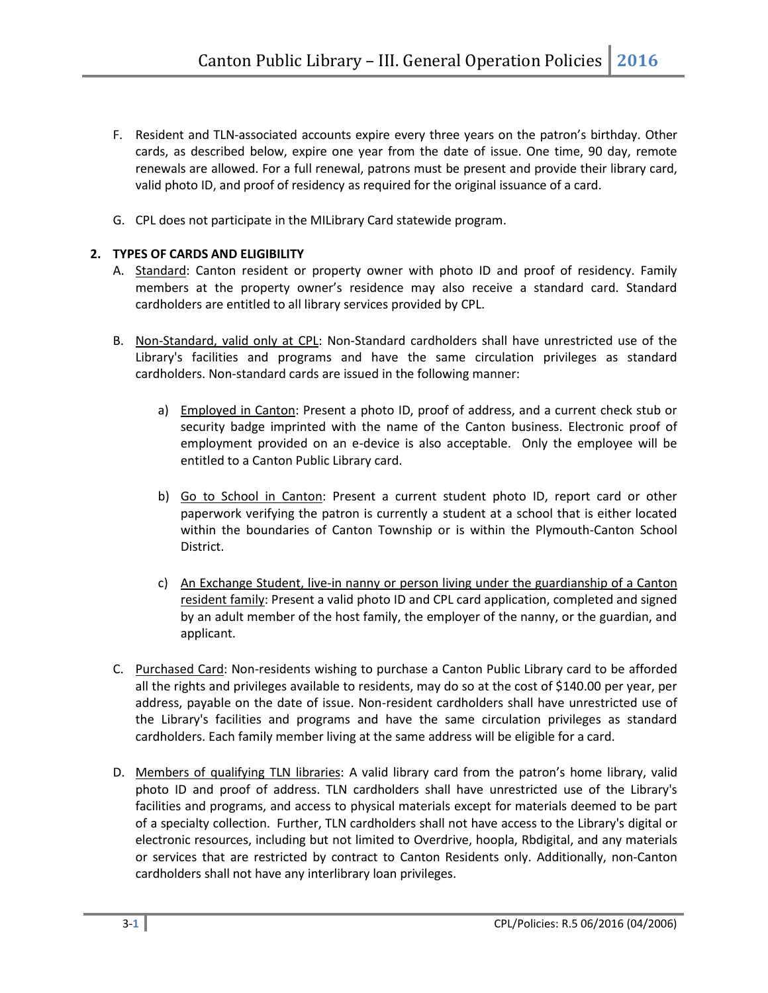- F. Resident and TLN-associated accounts expire every three years on the patron's birthday. Other cards, as described below, expire one year from the date of issue. One time, 90 day, remote renewals are allowed. For a full renewal, patrons must be present and provide their library card, valid photo ID, and proof of residency as required for the original issuance of a card.
- G. CPL does not participate in the MILibrary Card statewide program.

# **2. TYPES OF CARDS AND ELIGIBILITY**

- A. Standard: Canton resident or property owner with photo ID and proof of residency. Family members at the property owner's residence may also receive a standard card. Standard cardholders are entitled to all library services provided by CPL.
- B. Non-Standard, valid only at CPL: Non-Standard cardholders shall have unrestricted use of the Library's facilities and programs and have the same circulation privileges as standard cardholders. Non-standard cards are issued in the following manner:
	- a) Employed in Canton: Present a photo ID, proof of address, and a current check stub or security badge imprinted with the name of the Canton business. Electronic proof of employment provided on an e-device is also acceptable. Only the employee will be entitled to a Canton Public Library card.
	- b) Go to School in Canton: Present a current student photo ID, report card or other paperwork verifying the patron is currently a student at a school that is either located within the boundaries of Canton Township or is within the Plymouth-Canton School District.
	- c) An Exchange Student, live-in nanny or person living under the guardianship of a Canton resident family: Present a valid photo ID and CPL card application, completed and signed by an adult member of the host family, the employer of the nanny, or the guardian, and applicant.
- C. Purchased Card: Non-residents wishing to purchase a Canton Public Library card to be afforded all the rights and privileges available to residents, may do so at the cost of \$140.00 per year, per address, payable on the date of issue. Non-resident cardholders shall have unrestricted use of the Library's facilities and programs and have the same circulation privileges as standard cardholders. Each family member living at the same address will be eligible for a card.
- D. Members of qualifying TLN libraries: A valid library card from the patron's home library, valid photo ID and proof of address. TLN cardholders shall have unrestricted use of the Library's facilities and programs, and access to physical materials except for materials deemed to be part of a specialty collection. Further, TLN cardholders shall not have access to the Library's digital or electronic resources, including but not limited to Overdrive, hoopla, Rbdigital, and any materials or services that are restricted by contract to Canton Residents only. Additionally, non-Canton cardholders shall not have any interlibrary loan privileges.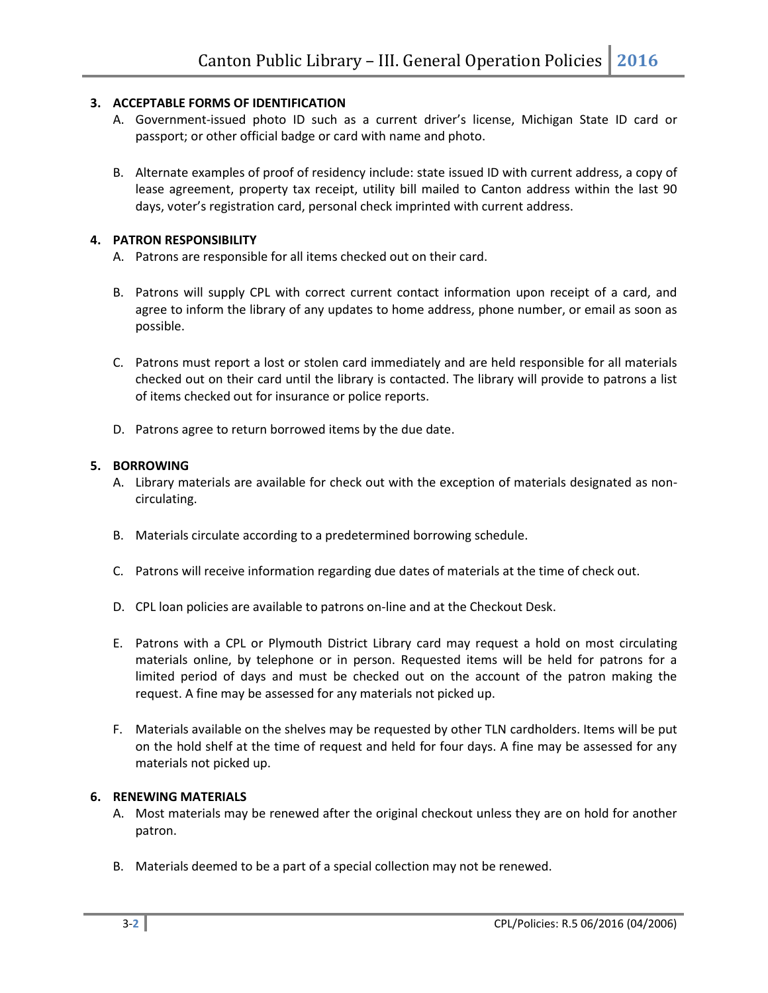# **3. ACCEPTABLE FORMS OF IDENTIFICATION**

- A. Government-issued photo ID such as a current driver's license, Michigan State ID card or passport; or other official badge or card with name and photo.
- B. Alternate examples of proof of residency include: state issued ID with current address, a copy of lease agreement, property tax receipt, utility bill mailed to Canton address within the last 90 days, voter's registration card, personal check imprinted with current address.

## **4. PATRON RESPONSIBILITY**

- A. Patrons are responsible for all items checked out on their card.
- B. Patrons will supply CPL with correct current contact information upon receipt of a card, and agree to inform the library of any updates to home address, phone number, or email as soon as possible.
- C. Patrons must report a lost or stolen card immediately and are held responsible for all materials checked out on their card until the library is contacted. The library will provide to patrons a list of items checked out for insurance or police reports.
- D. Patrons agree to return borrowed items by the due date.

## **5. BORROWING**

- A. Library materials are available for check out with the exception of materials designated as noncirculating.
- B. Materials circulate according to a predetermined borrowing schedule.
- C. Patrons will receive information regarding due dates of materials at the time of check out.
- D. CPL loan policies are available to patrons on-line and at the Checkout Desk.
- E. Patrons with a CPL or Plymouth District Library card may request a hold on most circulating materials online, by telephone or in person. Requested items will be held for patrons for a limited period of days and must be checked out on the account of the patron making the request. A fine may be assessed for any materials not picked up.
- F. Materials available on the shelves may be requested by other TLN cardholders. Items will be put on the hold shelf at the time of request and held for four days. A fine may be assessed for any materials not picked up.

### **6. RENEWING MATERIALS**

- A. Most materials may be renewed after the original checkout unless they are on hold for another patron.
- B. Materials deemed to be a part of a special collection may not be renewed.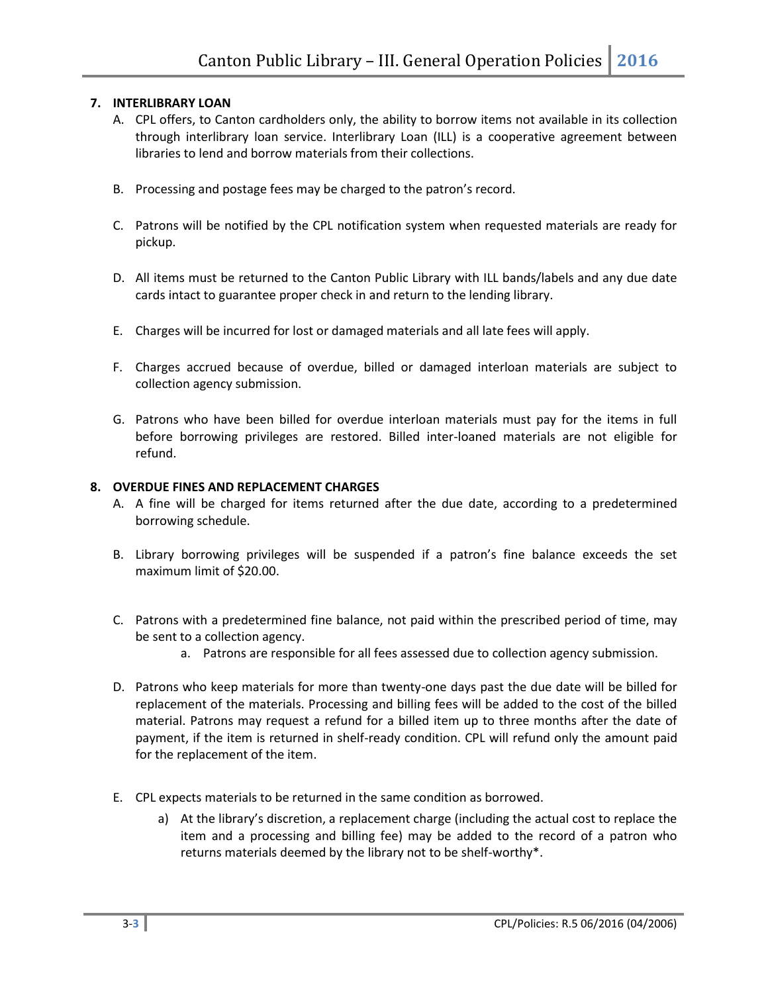# **7. INTERLIBRARY LOAN**

- A. CPL offers, to Canton cardholders only, the ability to borrow items not available in its collection through interlibrary loan service. Interlibrary Loan (ILL) is a cooperative agreement between libraries to lend and borrow materials from their collections.
- B. Processing and postage fees may be charged to the patron's record.
- C. Patrons will be notified by the CPL notification system when requested materials are ready for pickup.
- D. All items must be returned to the Canton Public Library with ILL bands/labels and any due date cards intact to guarantee proper check in and return to the lending library.
- E. Charges will be incurred for lost or damaged materials and all late fees will apply.
- F. Charges accrued because of overdue, billed or damaged interloan materials are subject to collection agency submission.
- G. Patrons who have been billed for overdue interloan materials must pay for the items in full before borrowing privileges are restored. Billed inter-loaned materials are not eligible for refund.

### **8. OVERDUE FINES AND REPLACEMENT CHARGES**

- A. A fine will be charged for items returned after the due date, according to a predetermined borrowing schedule.
- B. Library borrowing privileges will be suspended if a patron's fine balance exceeds the set maximum limit of \$20.00.
- C. Patrons with a predetermined fine balance, not paid within the prescribed period of time, may be sent to a collection agency.
	- a. Patrons are responsible for all fees assessed due to collection agency submission.
- D. Patrons who keep materials for more than twenty-one days past the due date will be billed for replacement of the materials. Processing and billing fees will be added to the cost of the billed material. Patrons may request a refund for a billed item up to three months after the date of payment, if the item is returned in shelf-ready condition. CPL will refund only the amount paid for the replacement of the item.
- E. CPL expects materials to be returned in the same condition as borrowed.
	- a) At the library's discretion, a replacement charge (including the actual cost to replace the item and a processing and billing fee) may be added to the record of a patron who returns materials deemed by the library not to be shelf-worthy\*.